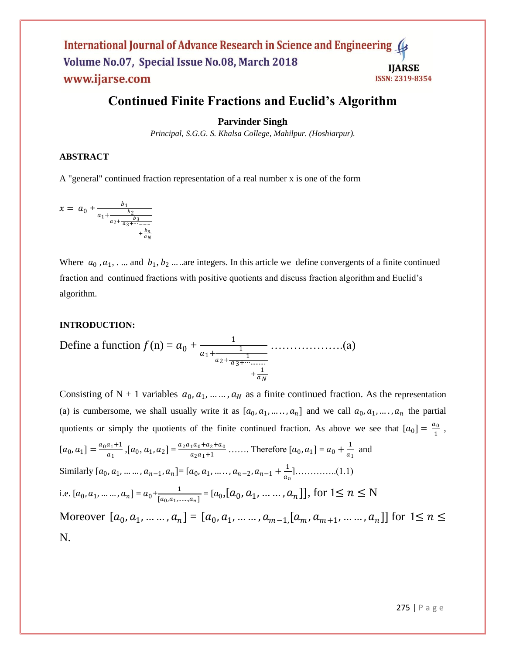# **Continued Finite Fractions and Euclid's Algorithm**

## **Parvinder Singh**

*Principal, S.G.G. S. Khalsa College, Mahilpur. (Hoshiarpur).*

### **ABSTRACT**

A "general" continued fraction representation of a [real number](http://mathworld.wolfram.com/RealNumber.html) x is one [of the form](http://mathworld.wolfram.com/OftheForm.html)

$$
x = a_0 + \frac{b_1}{a_1 + \frac{b_2}{a_2 + \frac{b_3}{a_3 + \dots + \frac{b_n}{a_N}}}}
$$

Where  $a_0$ ,  $a_1$ , ... and  $b_1$ ,  $b_2$  ... are integers. In this article we define convergents of a finite continued fraction and continued fractions with positive quotients and discuss fraction algorithm and Euclid's algorithm.

### **INTRODUCTION:**

Define a function 
$$
f(n) = a_0 + \frac{1}{a_1 + \frac{1}{a_2 + \frac{1}{a_3 + \dots + \dots + a_N}} + \frac{1}{a_N}}
$$
 ....... (a)

Consisting of N + 1 variables  $a_0, a_1, \dots, a_N$  as a finite continued fraction. As the representation (a) is cumbersome, we shall usually write it as  $[a_0, a_1, \ldots, a_n]$  and we call  $a_0, a_1, \ldots, a_n$  the partial quotients or simply the quotients of the finite continued fraction. As above we see that  $[a_0] = \frac{a_0}{1}$  $\frac{1}{1}$  ,  $[a_0, a_1] = \frac{a_0 a_1 + 1}{a_1}$  $\frac{a_1+1}{a_1}$ ,  $[a_0, a_1, a_2] = \frac{a_2 a_1 a_0 + a_2 + a_0}{a_2 a_1 + 1}$  $\frac{1}{a_0 + a_2 + a_0}$  ....... Therefore  $[a_0, a_1] = a_0 + \frac{1}{a_1}$  $\frac{1}{a_1}$  and Similarly  $[a_0, a_1, ..., a_{n-1}, a_n] = [a_0, a_1, ..., a_{n-2}, a_{n-1} + \frac{1}{a}]$  ]…………..(1.1) i.e.  $[a_0, a_1, \dots, a_n] = a_0 + \frac{1}{[a_0, a_1]}$  $\frac{1}{[a_0,a_1,.....,a_n]}$  =  $[a_0,[a_0,a_1,.....,a_n]]$ , for  $1 \le n \le N$ Moreover  $[a_0, a_1, ..., a_n] = [a_0, a_1, ..., a_{m-1}] [a_m, a_{m+1}, ..., a_n]]$  for  $1 \le n \le n$ N.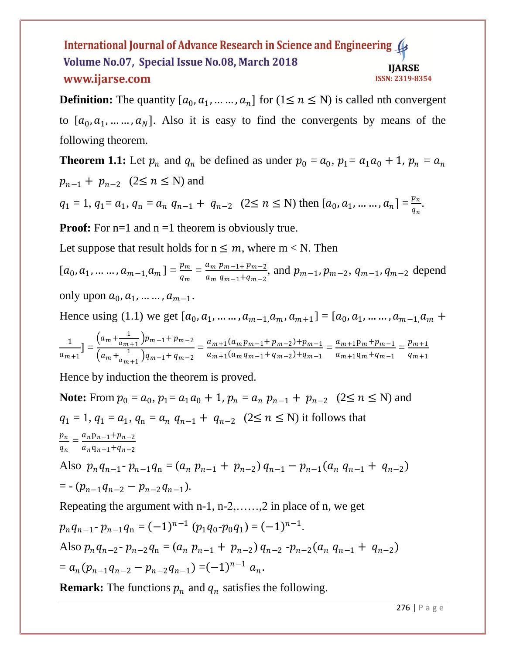**Definition:** The quantity  $[a_0, a_1, \dots, a_n]$  for  $(1 \le n \le N)$  is called nth convergent to  $[a_0, a_1, \ldots, a_N]$ . Also it is easy to find the convergents by means of the following theorem.

**Theorem 1.1:** Let  $p_n$  and  $q_n$  be defined as under  $p_0 = a_0$ ,  $p_1 = a_1 a_0 + 1$ ,  $p_n = a_n$  $p_{n-1} + p_{n-2} \quad (2 \le n \le N)$  and

 $q_1 = 1, q_1 = a_1, q_n = a_n q_{n-1} + q_{n-2} \quad (2 \le n \le N)$  then  $[a_0, a_1, \dots, a_n] = \frac{p_n}{a_n}$  $\frac{p_n}{q_n}$ .

**Proof:** For n=1 and n =1 theorem is obviously true.

Let suppose that result holds for  $n \leq m$ , where  $m < N$ . Then

 $[a_0, a_1, \ldots \ldots, a_{m-1}, a_m] = \frac{p_m}{a}$  $\frac{p_m}{q_m} = \frac{a_m p_{m-1+} p_{m-2}}{a_m q_{m-1} + q_{m-2}}$  $\frac{a_m p_{m-1} p_{m-2}}{a_m q_{m-1} + q_{m-2}}$ , and  $p_{m-1}$ ,  $p_{m-2}$ ,  $q_{m-1}$ ,  $q_{m-2}$  depend only upon  $a_0, a_1, ..., a_{m-1}$ .

Hence using (1.1) we get  $[a_0, a_1, ..., a_{m-1}, a_m, a_{m+1}] = [a_0, a_1, ..., a_{m-1}, a_m +$ 

$$
\frac{1}{a_{m+1}} = \frac{(a_m + \frac{1}{a_{m+1}})p_{m-1} + p_{m-2}}{(a_m + \frac{1}{a_{m+1}})q_{m-1} + q_{m-2}} = \frac{a_{m+1}(a_m p_{m-1} + p_{m-2}) + p_{m-1}}{a_{m+1}(a_m q_{m-1} + q_{m-2}) + q_{m-1}} = \frac{a_{m+1} p_m + p_{m-1}}{a_{m+1} q_m + q_{m-1}} = \frac{p_{m+1}}{q_{m+1}}
$$

Hence by induction the theorem is proved.

**Note:** From  $p_0 = a_0$ ,  $p_1 = a_1 a_0 + 1$ ,  $p_n = a_n p_{n-1} + p_{n-2} (2 \le n \le N)$  and  $q_1 = 1, q_1 = a_1, q_n = a_n q_{n-1} + q_{n-2}$  (2 $\leq n \leq N$ ) it follows that  $\mathfrak{p}_n$  $\frac{p_n}{q_n} = \frac{a_n p_{n-1} + p_{n-2}}{a_n q_{n-1} + q_{n-2}}$  $a_nq_{n-1}+q_{n-2}$ Also  $p_n q_{n-1}$ -  $p_{n-1} q_n = (a_n p_{n-1} + p_{n-2}) q_{n-1} - p_{n-1} (a_n q_{n-1} + q_{n-2})$  $= -(p_{n-1}q_{n-2} - p_{n-2}q_{n-1}).$ Repeating the argument with n-1, n-2,……,2 in place of n, we get  $p_n q_{n-1}$ -  $p_{n-1} q_n = (-1)^{n-1} (p_1 q_0$ - $p_0 q_1) = (-1)^{n-1}.$ Also  $p_n q_{n-2}$ -  $p_{n-2} q_n = (a_n p_{n-1} + p_{n-2}) q_{n-2}$ - $p_{n-2} (a_n q_{n-1} + q_{n-2})$  $= a_n (p_{n-1}q_{n-2} - p_{n-2}q_{n-1}) = (-1)^{n-1} a_n.$ 

**Remark:** The functions  $p_n$  and  $q_n$  satisfies the following.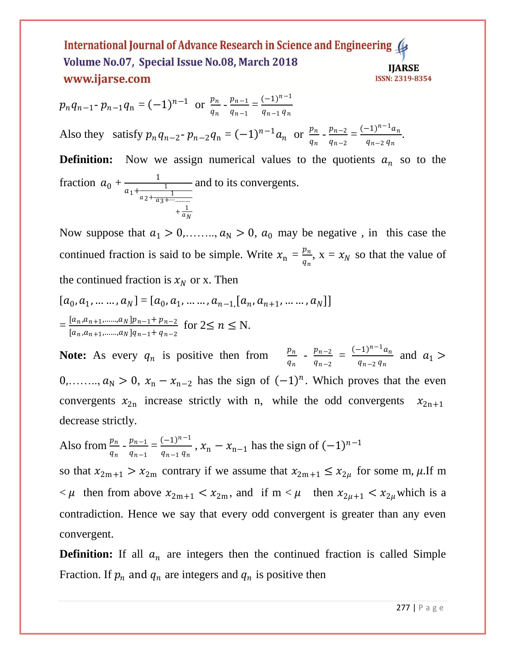$$
p_n q_{n-1} \cdot p_{n-1} q_n = (-1)^{n-1} \text{ or } \frac{p_n}{q_n} \cdot \frac{p_{n-1}}{q_{n-1}} = \frac{(-1)^{n-1}}{q_{n-1} q_n}
$$

Also they satisfy  $p_n q_{n-2}$ -  $p_{n-2} q_n = (-1)^{n-1} a_n$  or  $\frac{p_n}{q}$  $\frac{p_n}{q_n}$  -  $\frac{p_{n-2}}{q_{n-2}}$  $\frac{p_{n-2}}{q_{n-2}} = \frac{(-1)^{n-1}a_n}{q_{n-2}q_n}$  $\frac{(-1)}{q_{n-2} q_n}$ .

**Definition:** Now we assign numerical values to the quotients  $a_n$  so to the fraction  $a_0 + \frac{1}{a_0 + a_1}$  $a_1 + \frac{1}{1}$  $a_2 + \frac{1}{a_3 + \cdots + a_n}$  $+\frac{1}{a}$  $a_N$ and to its convergents.

Now suppose that  $a_1 > 0, \ldots, a_N > 0$ ,  $a_0$  may be negative, in this case the continued fraction is said to be simple. Write  $x_n = \frac{p_n}{q}$  $\frac{p_n}{q_n}$ ,  $x = x_N$  so that the value of the continued fraction is  $x_N$  or x. Then

$$
[a_0, a_1, \dots, a_N] = [a_0, a_1, \dots, a_{n-1}, [a_n, a_{n+1}, \dots, a_N]]
$$
  
= 
$$
\frac{[a_n, a_{n+1}, \dots, a_N]p_{n-1} + p_{n-2}}{[a_n, a_{n+1}, \dots, a_N]q_{n-1} + q_{n-2}}
$$
 for  $2 \le n \le N$ .

**Note:** As every  $q_n$  is positive then from  $\frac{p_n}{q_n}$  $\frac{p_n}{q_n}$  -  $\frac{p_{n-2}}{q_{n-2}}$  $\frac{p_{n-2}}{q_{n-2}} = \frac{(-1)^{n-1}a_n}{q_{n-2}q_n}$  $\frac{(-1)^{n}a_n}{a_{n-2}a_n}$  and  $a_1 >$ 0,……,  $a_N > 0$ ,  $x_n - x_{n-2}$  has the sign of  $(-1)^n$ . Which proves that the even convergents  $x_{2n}$  increase strictly with n, while the odd convergents  $x_{2n+1}$ decrease strictly.

Also from 
$$
\frac{p_n}{q_n} - \frac{p_{n-1}}{q_{n-1}} = \frac{(-1)^{n-1}}{q_{n-1}q_n}
$$
,  $x_n - x_{n-1}$  has the sign of  $(-1)^{n-1}$ 

so that  $x_{2m+1} > x_{2m}$  contrary if we assume that  $x_{2m+1} \le x_{2\mu}$  for some m,  $\mu$ . If m  $< \mu$  then from above  $x_{2m+1} < x_{2m}$ , and if  $m < \mu$  then  $x_{2\mu+1} < x_{2\mu}$  which is a contradiction. Hence we say that every odd convergent is greater than any even convergent.

**Definition:** If all  $a_n$  are integers then the continued fraction is called Simple Fraction. If  $p_n$  and  $q_n$  are integers and  $q_n$  is positive then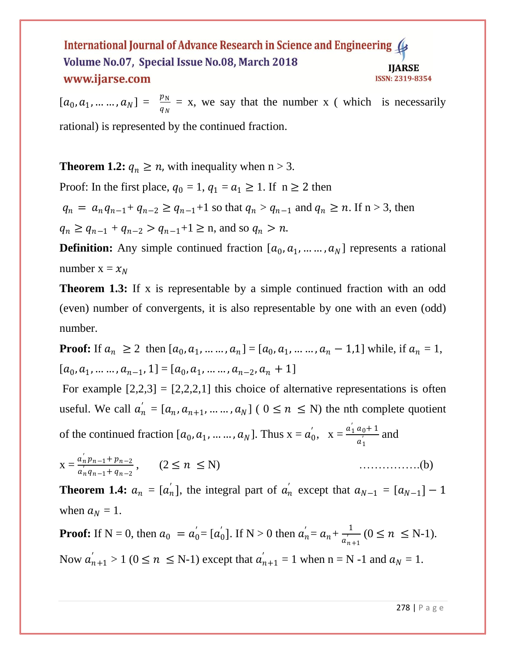$[a_0, a_1, \dots, a_N] = \frac{p_N}{q_N} = x$ , we say that the number x (which is necessarily rational) is represented by the continued fraction.

**Theorem 1.2:**  $q_n \ge n$ , with inequality when  $n > 3$ .

Proof: In the first place,  $q_0 = 1$ ,  $q_1 = a_1 \ge 1$ . If  $n \ge 2$  then

 $q_n = a_n q_{n-1} + q_{n-2} \geq q_{n-1} + 1$  so that  $q_n > q_{n-1}$  and  $q_n \geq n$ . If  $n > 3$ , then

 $q_n \geq q_{n-1} + q_{n-2} > q_{n-1} + 1 \geq n$ , and so  $q_n > n$ .

**Definition:** Any simple continued fraction  $[a_0, a_1, \dots, a_N]$  represents a rational number  $x = x_N$ 

**Theorem 1.3:** If x is representable by a simple continued fraction with an odd (even) number of convergents, it is also representable by one with an even (odd) number.

**Proof:** If  $a_n \ge 2$  then  $[a_0, a_1, ..., a_n] = [a_0, a_1, ..., a_n - 1, 1]$  while, if  $a_n = 1$ ,  $[a_0, a_1, \ldots, a_{n-1}, 1] = [a_0, a_1, \ldots, a_{n-2}, a_n + 1]$ 

For example  $[2,2,3] = [2,2,2,1]$  this choice of alternative representations is often useful. We call  $a'_n = [a_n, a_{n+1}, \dots, a_N]$  (  $0 \le n \le N$ ) the nth complete quotient

of the continued fraction  $[a_0, a_1, \dots, a_N]$ . Thus  $x = a_0, x = \frac{a_1 a_0 + 1}{a_0}$  $\frac{a_0+1}{a_1}$  and

x = ′ −1+−<sup>2</sup> ′ −1+−<sup>2</sup> , (2 ≤ ≤ N) …………….(b)

**Theorem 1.4:**  $a_n = [a'_n]$ , the integral part of  $a'_n$  except that  $a_{N-1} = [a_{N-1}] - 1$ when  $a_N = 1$ .

**Proof:** If N = 0, then  $a_0 = a_0 = [a_0]$ . If N > 0 then  $a_n = a_n + \frac{1}{a_0}$  $\frac{1}{a_{n+1}'}$   $(0 \le n \le N-1)$ . Now  $a'_{n+1} > 1$  ( $0 \le n \le N-1$ ) except that  $a'_{n+1} = 1$  when  $n = N-1$  and  $a_N = 1$ .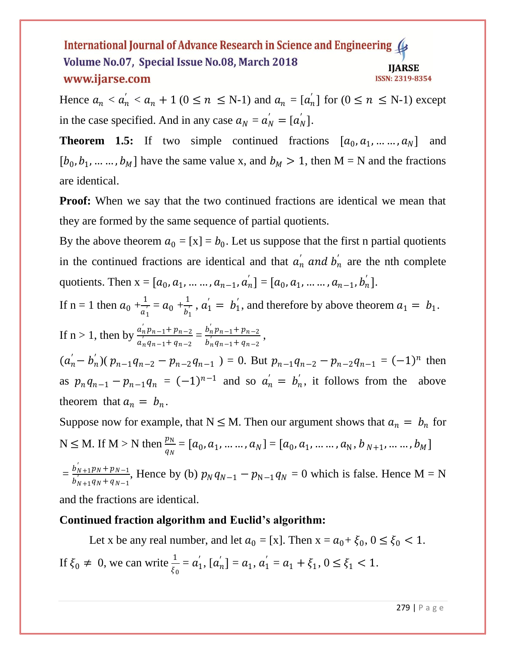Hence  $a_n < a'_n < a_n + 1$  ( $0 \le n \le N-1$ ) and  $a_n = [a'_n]$  for  $(0 \le n \le N-1)$  except in the case specified. And in any case  $a_N = a'_N = [a'_N]$ .

**Theorem 1.5:** If two simple continued fractions  $[a_0, a_1, \dots, a_N]$  and  $[b_0, b_1, \dots, b_M]$  have the same value x, and  $b_M > 1$ , then M = N and the fractions are identical.

**Proof:** When we say that the two continued fractions are identical we mean that they are formed by the same sequence of partial quotients.

By the above theorem  $a_0 = [x] = b_0$ . Let us suppose that the first n partial quotients in the continued fractions are identical and that  $a'_n$  and  $b'_n$  are the nth complete quotients. Then  $x = [a_0, a_1, ..., a_{n-1}, a'_n] = [a_0, a_1, ..., a_{n-1}, b'_n].$ 

If n = 1 then  $a_0 + \frac{1}{a_0}$  $\frac{1}{a_1'} = a_0 + \frac{1}{b_1'}$  $\frac{1}{b_1}$ ,  $a_1' = b_1'$ , and therefore by above theorem  $a_1 = b_1$ . If  $n > 1$ , then by  $\frac{a'_n p_{n-1} + p_{n-2}}{n!}$  $\frac{a_n' p_{n-1} + p_{n-2}}{a_n' q_{n-1} + q_{n-2}} = \frac{b_n' p_{n-1} + p_{n-2}}{b_n' q_{n-1} + q_{n-2}}$  $\frac{b_n p_{n-1} + p_{n-2}}{b_n q_{n-1} + q_{n-2}}$ ,

 $(a'_n - b'_n)(p_{n-1}q_{n-2} - p_{n-2}q_{n-1}) = 0$ . But  $p_{n-1}q_{n-2} - p_{n-2}q_{n-1} = (-1)^n$  then as  $p_n q_{n-1} - p_{n-1} q_n = (-1)^{n-1}$  and so  $a'_n = b'_n$ , it follows from the above theorem that  $a_n = b_n$ .

Suppose now for example, that  $N \le M$ . Then our argument shows that  $a_n = b_n$  for  $N \le M$ . If  $M > N$  then  $\frac{p_N}{q_N} = [a_0, a_1, \dots, a_N] = [a_0, a_1, \dots, a_N, b_{N+1}, \dots, b_M]$  $=\frac{b_{N+1}'p_N+p_{N-1}}{b_1'}$  $\frac{b_{N+1}b_{N}+b_{N-1}}{b_{N+1}^2q_{N}+q_{N-1}}$ , Hence by (b)  $p_N q_{N-1} - p_{N-1} q_N = 0$  which is false. Hence M = N

and the fractions are identical.

# **Continued fraction algorithm and Euclid's algorithm:**

Let x be any real number, and let  $a_0 = [x]$ . Then  $x = a_0 + \xi_0$ ,  $0 \le \xi_0 < 1$ . If  $\xi_0 \neq 0$ , we can write  $\frac{1}{\xi_0} = a'_1$ ,  $[a'_n] = a_1$ ,  $a'_1 = a_1 + \xi_1$ ,  $0 \le \xi_1 < 1$ .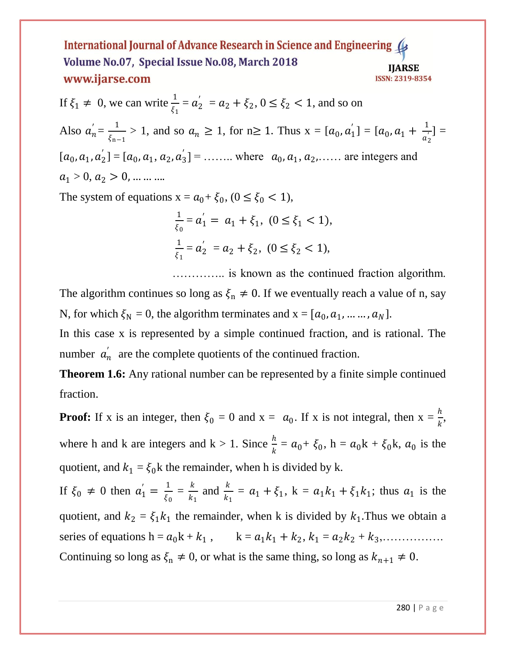If  $\xi_1 \neq 0$ , we can write  $\frac{1}{\xi_1} = a_2' = a_2 + \xi_2$ ,  $0 \le \xi_2 < 1$ , and so on Also  $a'_n = \frac{1}{5}$  $\frac{1}{\xi_{n-1}}$  > 1, and so  $a_n \ge 1$ , for n≥ 1. Thus  $x = [a_0, a'_1] = [a_0, a_1 + \frac{1}{a'_2}]$  $\frac{1}{a_2}$ ] =  $[a_0, a_1, a_2] = [a_0, a_1, a_2, a_3] = \dots$  where  $a_0, a_1, a_2, \dots$  are integers and  $a_1 > 0, a_2 > 0, \dots \dots$ 

The system of equations  $x = a_0 + \xi_0$ ,  $(0 \le \xi_0 < 1)$ ,

$$
\frac{1}{\xi_0} = a_1' = a_1 + \xi_1, \ (0 \le \xi_1 < 1),
$$
\n
$$
\frac{1}{\xi_1} = a_2' = a_2 + \xi_2, \ (0 \le \xi_2 < 1),
$$

………….. is known as the continued fraction algorithm.

The algorithm continues so long as  $\xi_n \neq 0$ . If we eventually reach a value of n, say N, for which  $\xi_N = 0$ , the algorithm terminates and  $x = [a_0, a_1, ..., a_N]$ .

In this case x is represented by a simple continued fraction, and is rational. The number  $a'_n$  are the complete quotients of the continued fraction.

**Theorem 1.6:** Any rational number can be represented by a finite simple continued fraction.

**Proof:** If x is an integer, then  $\xi_0 = 0$  and  $x = a_0$ . If x is not integral, then  $x = \frac{h}{k}$ , where h and k are integers and  $k > 1$ . Since  $\frac{h}{k} = a_0 + \xi_0$ ,  $h = a_0k + \xi_0k$ ,  $a_0$  is the quotient, and  $k_1 = \xi_0$ k the remainder, when h is divided by k.

If  $\xi_0 \neq 0$  then  $a'_1 = \frac{1}{\xi_0}$  $\frac{1}{\xi_0} = \frac{k}{k}$  $\frac{k}{k_1}$  and  $\frac{k}{k_1} = a_1 + \xi_1$ ,  $k = a_1k_1 + \xi_1k_1$ ; thus  $a_1$  is the quotient, and  $k_2 = \xi_1 k_1$  the remainder, when k is divided by  $k_1$ . Thus we obtain a series of equations h = 0k + <sup>1</sup> , k = 1<sup>1</sup> + <sup>2</sup> , <sup>1</sup> = 2<sup>2</sup> + <sup>3</sup> ,……………. Continuing so long as  $\xi_n \neq 0$ , or what is the same thing, so long as  $k_{n+1} \neq 0$ .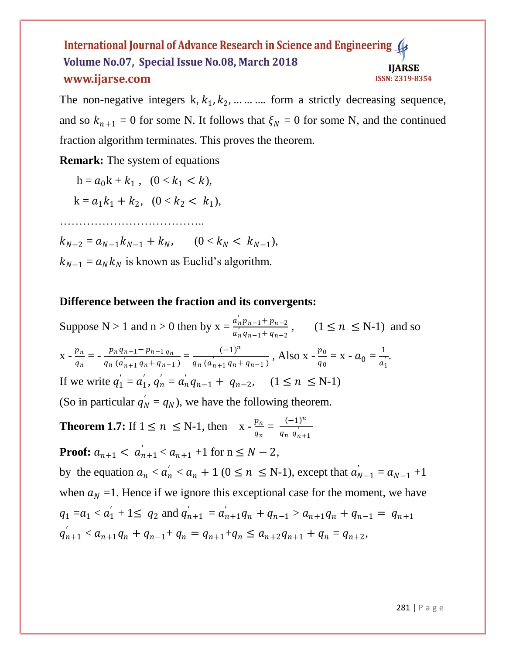The non-negative integers  $k, k_1, k_2, \dots \dots \dots$  form a strictly decreasing sequence, and so  $k_{n+1} = 0$  for some N. It follows that  $\xi_N = 0$  for some N, and the continued fraction algorithm terminates. This proves the theorem.

**Remark:** The system of equations

 $h = a_0 k + k_1, \quad (0 < k_1 < k),$ 

$$
k = a_1 k_1 + k_2, \quad (0 < k_2 < k_1),
$$

………………………………..

 $k_{N-2} = a_{N-1}k_{N-1} + k_N, \qquad (0 < k_N < k_{N-1}),$ 

 $k_{N-1} = a_N k_N$  is known as Euclid's algorithm.

# **Difference between the fraction and its convergents:**

Suppose N > 1 and n > 0 then by  $x = \frac{a'_n p_{n-1} + p_{n-2}}{a'_n p_{n-1} + p_n}$  $\frac{a_n p_{n-1} + p_{n-2}}{a_n q_{n-1} + q_{n-2}}$ ,  $(1 \le n \le N-1)$  and so  $X - \frac{p_n}{n}$  $\frac{p_n}{q_n} = -\frac{p_n q_{n-1} - p_{n-1} q_n}{q_n (a'_{n+1} q_n + q_{n-1})}$  $\frac{p_n q_{n-1} - p_{n-1} q_n}{q_n (a'_{n+1} q_n + q_{n-1})} = \frac{(-1)^n}{q_n (a'_{n+1} q_n + q_n)}$  $\frac{(-1)^n}{q_n(a'_{n+1}q_n+q_{n-1})}$ , Also x -  $\frac{p_0}{q_0}$  $\frac{p_0}{q_0} = \mathbf{x} - a_0 = \frac{1}{a_1^2}$  $\frac{1}{a_1}$ . If we write  $q_1' = a_1', q_n' = a_n' q_{n-1} + q_{n-2}, \quad (1 \le n \le N-1)$ (So in particular  $q'_N = q_N$ ), we have the following theorem.

**Theorem 1.7:** If  $1 \le n \le N-1$ , then  $x - \frac{p_n}{n}$  $\frac{p_n}{q_n} = \frac{(-1)^n}{q_n q_{n+1}}$  $q_n$   $q'_{n+1}$ 

**Proof:**  $a_{n+1} < a'_{n+1} < a_{n+1} + 1$  for  $n \leq N - 2$ , by the equation  $a_n < a'_n < a_n + 1$  ( $0 \le n \le N-1$ ), except that  $a'_{N-1} = a_{N-1} + 1$ when  $a<sub>N</sub> = 1$ . Hence if we ignore this exceptional case for the moment, we have  $q_1 = a_1 < a_1' + 1 \leq q_2$  and  $q_{n+1}' = a_{n+1}'q_n + q_{n-1} > a_{n+1}q_n + q_{n-1} = q_{n+1}$  $q'_{n+1} < a_{n+1}q_n + q_{n-1} + q_n = q_{n+1} + q_n \leq a_{n+2}q_{n+1} + q_n = q_{n+2},$